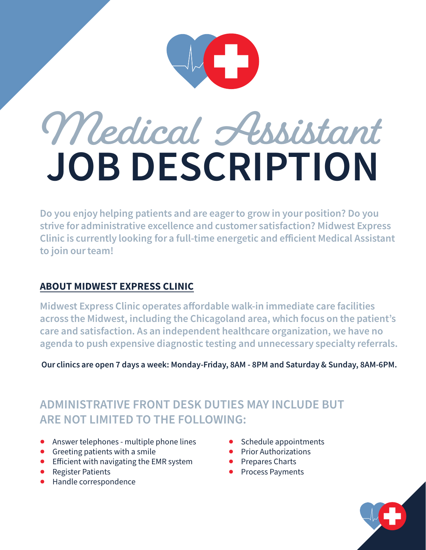

# **Medical Assistant JOB DESCRIPTION**

Do you enjoy helping patients and are eager to grow in your position? Do you strive for administrative excellence and customer satisfaction? Midwest Express Clinic is currently looking for a full-time energetic and efficient Medical Assistant to join our team!

#### ABOUT MIDWEST EXPRESS CLINIC

Midwest Express Clinic operates affordable walk-in immediate care facilities across the Midwest, including the Chicagoland area, which focus on the patient's care and satisfaction. As an independent healthcare organization, we have no agenda to push expensive diagnostic testing and unnecessary specialty referrals.

Our clinics are open 7 days a week: Monday-Friday, 8AM - 8PM and Saturday & Sunday, 8AM-6PM.

### **ADMINISTRATIVE FRONT DESK DUTIES MAY INCLUDE BUT ARE NOT LIMITED TO THE FOLLOWING:**

- Answer telephones multiple phone lines
- Greeting patients with a smile
- Efficient with navigating the EMR system
- Register Patients
- Handle correspondence
- Schedule appointments
- Prior Authorizations
- Prepares Charts
- Process Payments